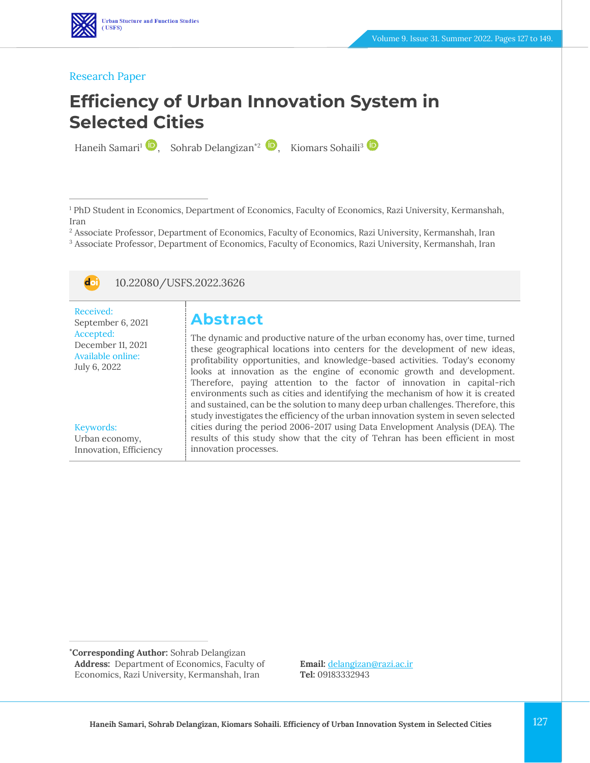#### Research Paper

# **Efficiency of Urban Innovation System in Selected Cities**

Haneih Samari<sup>1</sup> , Sohrab Delangizan<sup>\*2</sup> , Kiomars Sohaili<sup>3</sup>

<sup>1</sup> PhD Student in Economics, Department of Economics, Faculty of Economics, Razi University, Kermanshah, Iran

<sup>2</sup> Associate Professor, Department of Economics, Faculty of Economics, Razi University, Kermanshah, Iran

<sup>3</sup> Associate Professor, Department of Economics, Faculty of Economics, Razi University, Kermanshah, Iran



10.22080/USFS.2022.3626

| Received:         |
|-------------------|
| September 6, 2021 |
| Accepted:         |
| December 11, 2021 |
| Available online: |
| July 6, 2022      |
|                   |

Keywords: Urban economy, Innovation, Efficiency **Abstract**

The dynamic and productive nature of the urban economy has, over time, turned these geographical locations into centers for the development of new ideas, profitability opportunities, and knowledge-based activities. Today's economy looks at innovation as the engine of economic growth and development. Therefore, paying attention to the factor of innovation in capital-rich environments such as cities and identifying the mechanism of how it is created and sustained, can be the solution to many deep urban challenges. Therefore, this study investigates the efficiency of the urban innovation system in seven selected cities during the period 2006-2017 using Data Envelopment Analysis (DEA). The results of this study show that the city of Tehran has been efficient in most innovation processes.

**\*Corresponding Author:** Sohrab Delangizan **Address:** Department of Economics, Faculty of Economics, Razi University, Kermanshah, Iran

**Email:** [delangizan@razi.ac.ir](mailto:delangizan@razi.ac.ir) **Tel:** 09183332943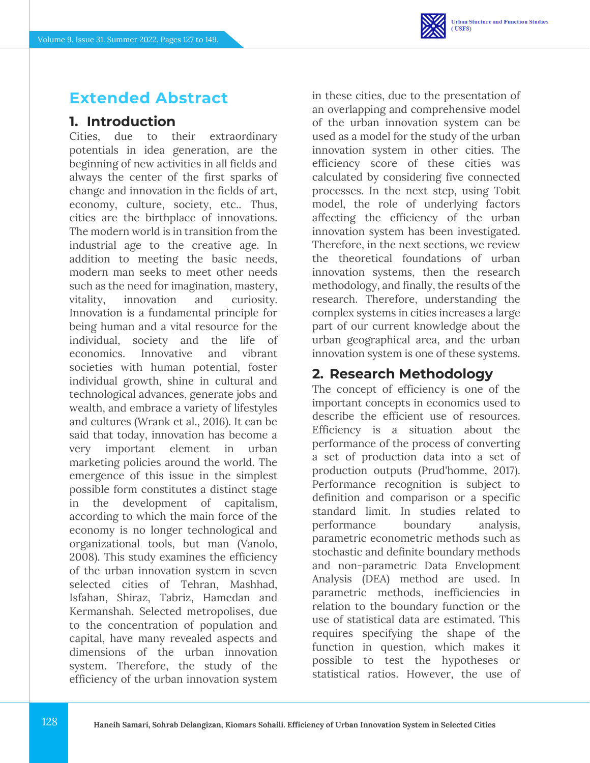## **Extended Abstract**

### **1. Introduction**

Cities, due to their extraordinary potentials in idea generation, are the beginning of new activities in all fields and always the center of the first sparks of change and innovation in the fields of art, economy, culture, society, etc.. Thus, cities are the birthplace of innovations. The modern world is in transition from the industrial age to the creative age. In addition to meeting the basic needs, modern man seeks to meet other needs such as the need for imagination, mastery, vitality, innovation and curiosity. Innovation is a fundamental principle for being human and a vital resource for the individual, society and the life of economics. Innovative and vibrant societies with human potential, foster individual growth, shine in cultural and technological advances, generate jobs and wealth, and embrace a variety of lifestyles and cultures (Wrank et al., 2016). It can be said that today, innovation has become a very important element in urban marketing policies around the world. The emergence of this issue in the simplest possible form constitutes a distinct stage in the development of capitalism, according to which the main force of the economy is no longer technological and organizational tools, but man (Vanolo, 2008). This study examines the efficiency of the urban innovation system in seven selected cities of Tehran, Mashhad, Isfahan, Shiraz, Tabriz, Hamedan and Kermanshah. Selected metropolises, due to the concentration of population and capital, have many revealed aspects and dimensions of the urban innovation system. Therefore, the study of the efficiency of the urban innovation system

in these cities, due to the presentation of an overlapping and comprehensive model of the urban innovation system can be used as a model for the study of the urban innovation system in other cities. The efficiency score of these cities was calculated by considering five connected processes. In the next step, using Tobit model, the role of underlying factors affecting the efficiency of the urban innovation system has been investigated. Therefore, in the next sections, we review the theoretical foundations of urban innovation systems, then the research methodology, and finally, the results of the research. Therefore, understanding the complex systems in cities increases a large part of our current knowledge about the urban geographical area, and the urban innovation system is one of these systems.

## **2. Research Methodology**

The concept of efficiency is one of the important concepts in economics used to describe the efficient use of resources. Efficiency is a situation about the performance of the process of converting a set of production data into a set of production outputs (Prud'homme, 2017). Performance recognition is subject to definition and comparison or a specific standard limit. In studies related to performance boundary analysis, parametric econometric methods such as stochastic and definite boundary methods and non-parametric Data Envelopment Analysis (DEA) method are used. In parametric methods, inefficiencies in relation to the boundary function or the use of statistical data are estimated. This requires specifying the shape of the function in question, which makes it possible to test the hypotheses or statistical ratios. However, the use of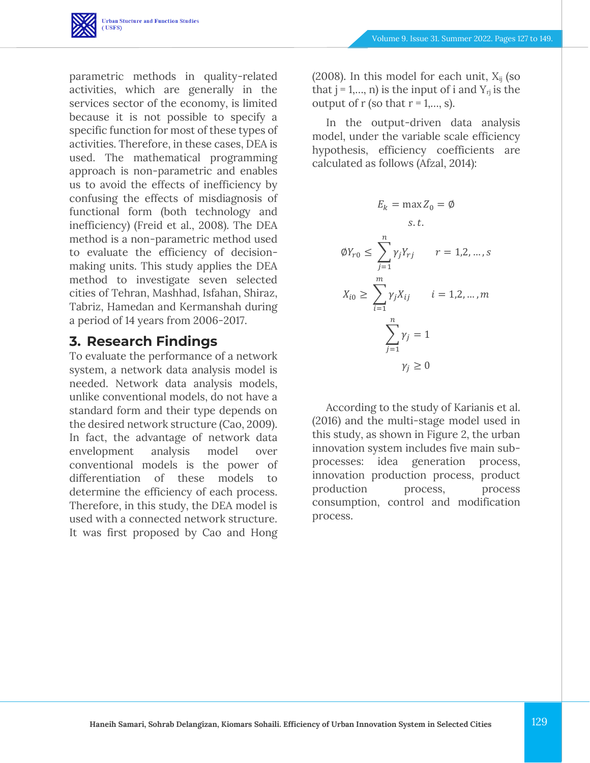

parametric methods in quality-related activities, which are generally in the services sector of the economy, is limited because it is not possible to specify a specific function for most of these types of activities. Therefore, in these cases, DEA is used. The mathematical programming approach is non-parametric and enables us to avoid the effects of inefficiency by confusing the effects of misdiagnosis of functional form (both technology and inefficiency) (Freid et al., 2008). The DEA method is a non-parametric method used to evaluate the efficiency of decisionmaking units. This study applies the DEA method to investigate seven selected cities of Tehran, Mashhad, Isfahan, Shiraz, Tabriz, Hamedan and Kermanshah during a period of 14 years from 2006-2017.

### **3. Research Findings**

To evaluate the performance of a network system, a network data analysis model is needed. Network data analysis models, unlike conventional models, do not have a standard form and their type depends on the desired network structure (Cao, 2009). In fact, the advantage of network data envelopment analysis model over conventional models is the power of differentiation of these models to determine the efficiency of each process. Therefore, in this study, the DEA model is used with a connected network structure. It was first proposed by Cao and Hong

(2008). In this model for each unit,  $X_{ij}$  (so that  $j = 1,..., n$ ) is the input of i and  $Y_{rj}$  is the output of r (so that  $r = 1, \ldots, s$ ).

In the output-driven data analysis model, under the variable scale efficiency hypothesis, efficiency coefficients are calculated as follows (Afzal, 2014):

$$
E_k = \max Z_0 = \emptyset
$$
  
s.t.  

$$
\emptyset Y_{r0} \le \sum_{j=1}^n \gamma_j Y_{rj} \qquad r = 1, 2, ..., s
$$
  

$$
X_{i0} \ge \sum_{i=1}^m \gamma_j X_{ij} \qquad i = 1, 2, ..., m
$$
  

$$
\sum_{j=1}^n \gamma_j = 1
$$
  

$$
\gamma_j \ge 0
$$

According to the study of Karianis et al. (2016) and the multi-stage model used in this study, as shown in Figure 2, the urban innovation system includes five main subprocesses: idea generation process, innovation production process, product production process, process consumption, control and modification process.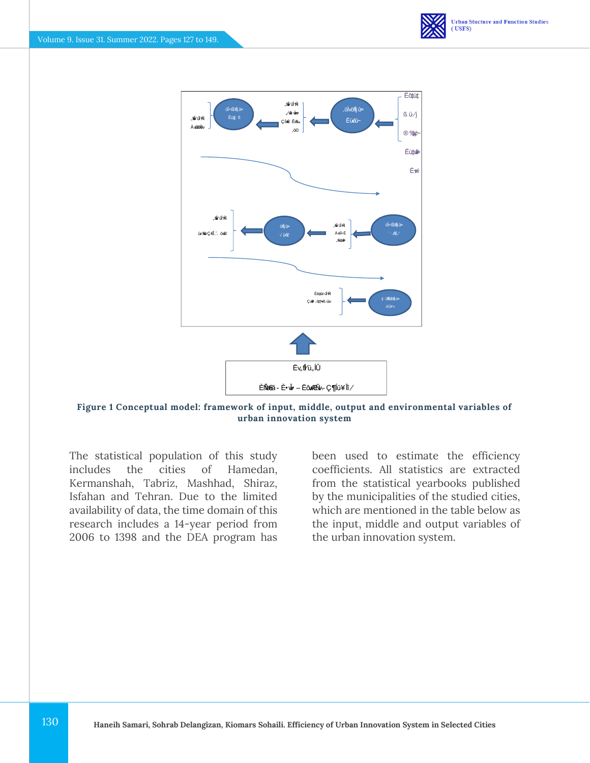



**Figure 1 Conceptual model: framework of input, middle, output and environmental variables of urban innovation system**

The statistical population of this study includes the cities of Hamedan, Kermanshah, Tabriz, Mashhad, Shiraz, Isfahan and Tehran. Due to the limited availability of data, the time domain of this research includes a 14-year period from 2006 to 1398 and the DEA program has

been used to estimate the efficiency coefficients. All statistics are extracted from the statistical yearbooks published by the municipalities of the studied cities, which are mentioned in the table below as the input, middle and output variables of the urban innovation system.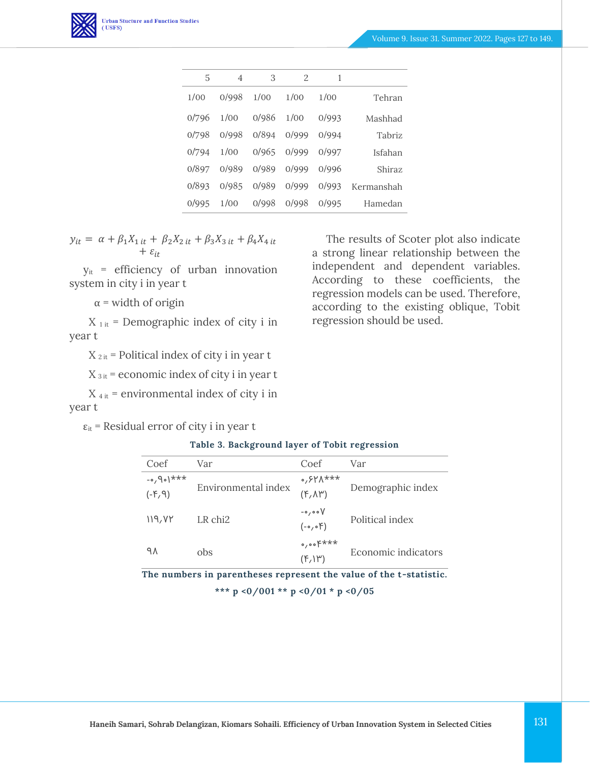

| 5     | 4     | 3     | $\mathfrak{D}$ | 1     |               |
|-------|-------|-------|----------------|-------|---------------|
| 1/00  | 0/998 | 1/00  | 1/00           | 1/00  | Tehran        |
| 0/796 | 1/00  | 0/986 | 1/00           | 0/993 | Mashhad       |
| 0/798 | 0/998 | 0/894 | 0/999          | 0/994 | <b>Tabriz</b> |
| 0/794 | 1/00  | 0/965 | 0/999          | 0/997 | Isfahan       |
| 0/897 | 0/989 | 0/989 | 0/999          | 0/996 | Shiraz        |
| 0/893 | 0/985 | 0/989 | 0/999          | 0/993 | Kermanshah    |
| 0/995 | 1/00  | 0/998 | 0/998          | 0/995 | Hamedan       |

$$
y_{it} = \alpha + \beta_1 X_{1 it} + \beta_2 X_{2 it} + \beta_3 X_{3 it} + \beta_4 X_{4 it} + \varepsilon_{it}
$$

yit = efficiency of urban innovation system in city i in year t

 $\alpha$  = width of origin

 $X_{1 it}$  = Demographic index of city i in year t

 $X_{2it}$  = Political index of city i in year t

 $X_{3 it}$  = economic index of city i in year t

 $X_{4it}$  = environmental index of city i in year t

 $\varepsilon_{it}$  = Residual error of city i in year t

The results of Scoter plot also indicate a strong linear relationship between the independent and dependent variables. According to these coefficients, the regression models can be used. Therefore, according to the existing oblique, Tobit regression should be used.

#### **Table 3. Background layer of Tobit regression**

| Coef        | Var                 | Coef                                | Var                 |  |
|-------------|---------------------|-------------------------------------|---------------------|--|
| $+x**$ (op. |                     | ***۱۸/۲۰,۰                          | Demographic index   |  |
| (P, 9)      | Environmental index | $(F, \Lambda^w)$                    |                     |  |
|             |                     | $\sim$ , oo $V$                     |                     |  |
| 119, VY     | LR chi <sub>2</sub> | $(-\circ, \circ)$                   | Political index     |  |
|             |                     | $\circ$ , $\circ$ $\circ$ $\xi$ *** |                     |  |
| ٩٨          | obs                 | $(F, \mathcal{W})$                  | Economic indicators |  |

**The numbers in parentheses represent the value of the t-statistic.**

**\*\*\* p <0/001 \*\* p <0/01 \* p <0/05**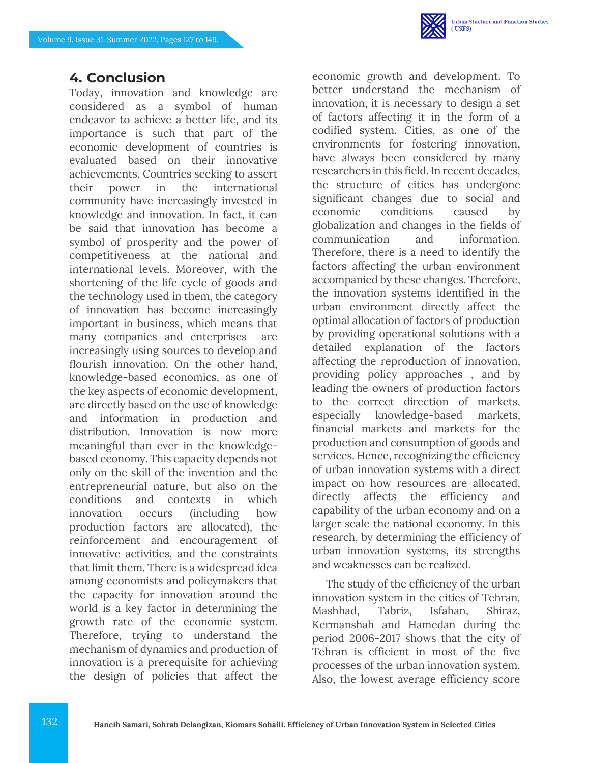

### **4. Conclusion**

Today, innovation and knowledge are considered as a symbol of human endeavor to achieve a better life, and its importance is such that part of the economic development of countries is evaluated based on their innovative achievements. Countries seeking to assert their power in the international community have increasingly invested in knowledge and innovation. In fact, it can be said that innovation has become a symbol of prosperity and the power of competitiveness at the national and international levels. Moreover, with the shortening of the life cycle of goods and the technology used in them, the category of innovation has become increasingly important in business, which means that many companies and enterprises are increasingly using sources to develop and flourish innovation. On the other hand, knowledge-based economics, as one of the key aspects of economic development, are directly based on the use of knowledge and information in production and distribution. Innovation is now more meaningful than ever in the knowledgebased economy. This capacity depends not only on the skill of the invention and the entrepreneurial nature, but also on the conditions and contexts in which innovation occurs (including how production factors are allocated), the reinforcement and encouragement of innovative activities, and the constraints that limit them. There is a widespread idea among economists and policymakers that the capacity for innovation around the world is a key factor in determining the growth rate of the economic system. Therefore, trying to understand the mechanism of dynamics and production of innovation is a prerequisite for achieving the design of policies that affect the

economic growth and development. To better understand the mechanism of innovation, it is necessary to design a set of factors affecting it in the form of a codified system. Cities, as one of the environments for fostering innovation, have always been considered by many researchers in this field. In recent decades, the structure of cities has undergone significant changes due to social and economic conditions caused by globalization and changes in the fields of communication and information. Therefore, there is a need to identify the factors affecting the urban environment accompanied by these changes. Therefore, the innovation systems identified in the urban environment directly affect the optimal allocation of factors of production by providing operational solutions with a detailed explanation of the factors affecting the reproduction of innovation, providing policy approaches , and by leading the owners of production factors to the correct direction of markets, especially knowledge-based markets, financial markets and markets for the production and consumption of goods and services. Hence, recognizing the efficiency of urban innovation systems with a direct impact on how resources are allocated, directly affects the efficiency and capability of the urban economy and on a larger scale the national economy. In this research, by determining the efficiency of urban innovation systems, its strengths and weaknesses can be realized.

The study of the efficiency of the urban innovation system in the cities of Tehran, Mashhad, Tabriz, Isfahan, Shiraz, Kermanshah and Hamedan during the period 2006-2017 shows that the city of Tehran is efficient in most of the five processes of the urban innovation system. Also, the lowest average efficiency score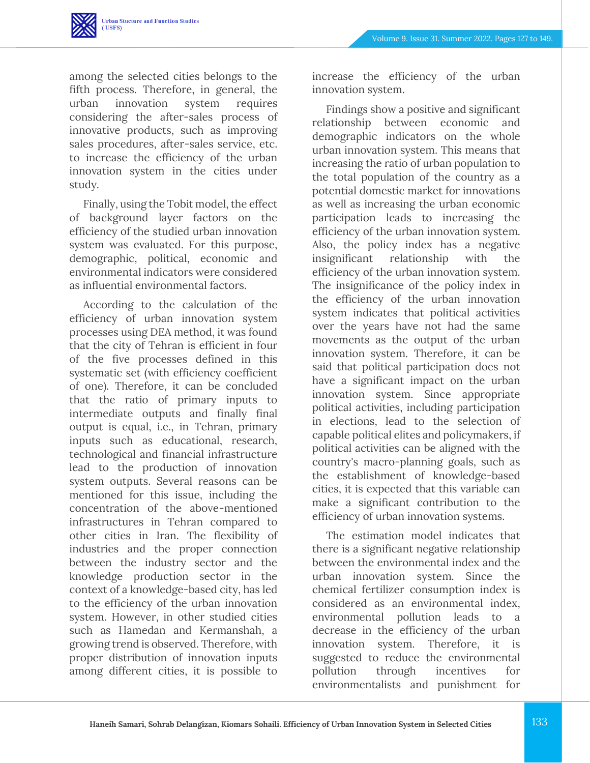

among the selected cities belongs to the fifth process. Therefore, in general, the urban innovation system requires considering the after-sales process of innovative products, such as improving sales procedures, after-sales service, etc. to increase the efficiency of the urban innovation system in the cities under study.

Finally, using the Tobit model, the effect of background layer factors on the efficiency of the studied urban innovation system was evaluated. For this purpose, demographic, political, economic and environmental indicators were considered as influential environmental factors.

According to the calculation of the efficiency of urban innovation system processes using DEA method, it was found that the city of Tehran is efficient in four of the five processes defined in this systematic set (with efficiency coefficient of one). Therefore, it can be concluded that the ratio of primary inputs to intermediate outputs and finally final output is equal, i.e., in Tehran, primary inputs such as educational, research, technological and financial infrastructure lead to the production of innovation system outputs. Several reasons can be mentioned for this issue, including the concentration of the above-mentioned infrastructures in Tehran compared to other cities in Iran. The flexibility of industries and the proper connection between the industry sector and the knowledge production sector in the context of a knowledge-based city, has led to the efficiency of the urban innovation system. However, in other studied cities such as Hamedan and Kermanshah, a growing trend is observed. Therefore, with proper distribution of innovation inputs among different cities, it is possible to

increase the efficiency of the urban innovation system.

Findings show a positive and significant relationship between economic and demographic indicators on the whole urban innovation system. This means that increasing the ratio of urban population to the total population of the country as a potential domestic market for innovations as well as increasing the urban economic participation leads to increasing the efficiency of the urban innovation system. Also, the policy index has a negative insignificant relationship with the efficiency of the urban innovation system. The insignificance of the policy index in the efficiency of the urban innovation system indicates that political activities over the years have not had the same movements as the output of the urban innovation system. Therefore, it can be said that political participation does not have a significant impact on the urban innovation system. Since appropriate political activities, including participation in elections, lead to the selection of capable political elites and policymakers, if political activities can be aligned with the country's macro-planning goals, such as the establishment of knowledge-based cities, it is expected that this variable can make a significant contribution to the efficiency of urban innovation systems.

The estimation model indicates that there is a significant negative relationship between the environmental index and the urban innovation system. Since the chemical fertilizer consumption index is considered as an environmental index, environmental pollution leads to a decrease in the efficiency of the urban innovation system. Therefore, it is suggested to reduce the environmental pollution through incentives for environmentalists and punishment for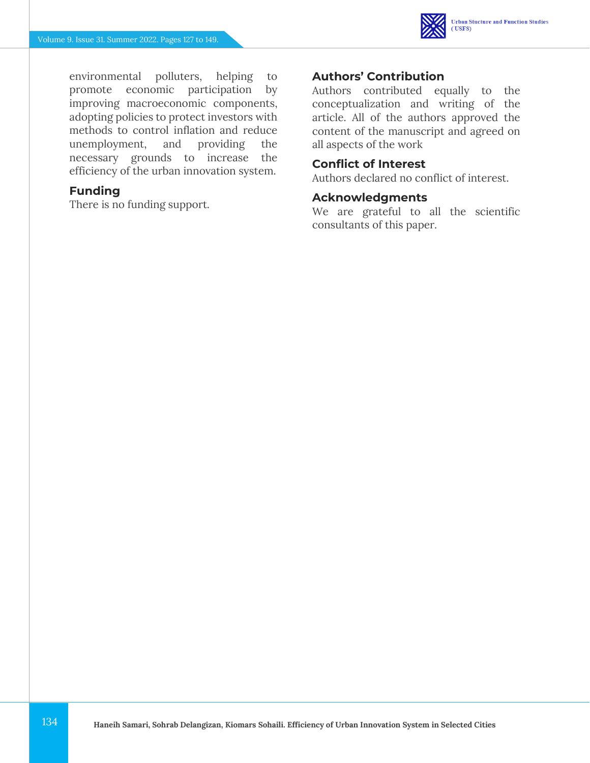

environmental polluters, helping to promote economic participation by improving macroeconomic components, adopting policies to protect investors with methods to control inflation and reduce unemployment, and providing the necessary grounds to increase the efficiency of the urban innovation system.

### **Funding**

There is no funding support.

### **Authors' Contribution**

Authors contributed equally to the conceptualization and writing of the article. All of the authors approved the content of the manuscript and agreed on all aspects of the work

### **Conflict of Interest**

Authors declared no conflict of interest.

### **Acknowledgments**

We are grateful to all the scientific consultants of this paper.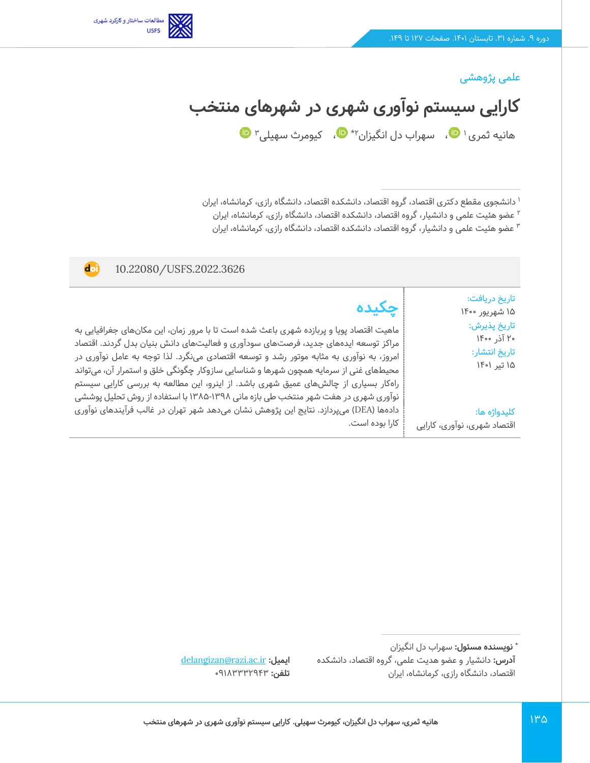

### علمی پژوهشی

**کارایی سیستم نوآوری شهری در شهرهای منتخب** 

هانیه ثمری <sup>۱</sup> ♥[،](https://www.orcid.org/0000-0002-2340-4564) سهراب دل انگیزان۲\* ♥[،](https://www.orcid.org/0000-0001-8392-1996)  کیومرث سهیلی۳

1 دانشجوی مقطع دکتری اقتصاد، گروه اقتصاد، دانشکده اقتصاد، دانشگاه رازی، کرمانشاه، ایران

2 عضو هئیت علمی و دانشیار، گروه اقتصاد، دانشکده اقتصاد، دانشگاه رازی، کرمانشاه، ایران

عضو هئیت علمی و دانشیار، گروه اقتصاد، دانشکده اقتصاد، دانشگاه رازی، کرمانشاه، ایران <sup>3</sup>

| 10.22080/USFS.2022.3626<br>doi                                                                                                                                                                                                                                                                                                                                                                                                                                                                                                                                                                                                                                 |                                                                                                                                               |
|----------------------------------------------------------------------------------------------------------------------------------------------------------------------------------------------------------------------------------------------------------------------------------------------------------------------------------------------------------------------------------------------------------------------------------------------------------------------------------------------------------------------------------------------------------------------------------------------------------------------------------------------------------------|-----------------------------------------------------------------------------------------------------------------------------------------------|
| حكىدە<br>ماهیت اقتصاد پویا و پربازده شهری باعث شده است تا با مرور زمان، این مکانهای جغرافیایی به<br>مراکز توسعه ایدههای جدید، فرصتهای سودآوری و فعالیتهای دانش بنیان بدل گردند. اقتصاد<br>امروز، به نوآوری به مثابه موتور رشد و توسعه اقتصادی مینگرد. لذا توجه به عامل نوآوری در<br>محیطهای غنی از سرمایه همچون شهرها و شناسایی سازوکار چگونگی خلق و استمرار آن، میتواند<br>راهکار بسیاری از چالشهای عمیق شهری باشد. از اینرو، این مطالعه به بررسی کارایی سیستم<br>نوآوری شهری در هفت شهر منتخب طی بازه مانی ۱۳۹۸-۱۳۸۵ با استفاده از روش تحلیل پوششی<br>دادهها (DEA) میپردازد. نتایج این پژوهش نشان میدهد شهر تهران در غالب فرآیندهای نوآوری<br>کارا بوده است. | تاريخ دريافت:<br>۱۵ شهريور ۱۴۰۰<br>تاريخ پذيرش:<br>۲۰ آذر ۱۴۰۰<br>تاريخ انتشار:<br>۱۵ تیر ۱۴۰۱<br>كليدواژه ها:<br>اقتصاد شهری، نوآوری، کارایی |

**\* نویسنده مسئول :** سهراب دل انگ یزان **آدرس:** دانشیار و عضو هدیت علمی، گروه اقتصاد، دانشکده اقتصاد، دانشگاه رازی، کرمانشاه، ایران

[delangizan@razi.ac.ir](mailto:delangizan@razi.ac.ir) **:ایمیل تلفن: ٩١٨٣٣٣٢٩٤٣**٠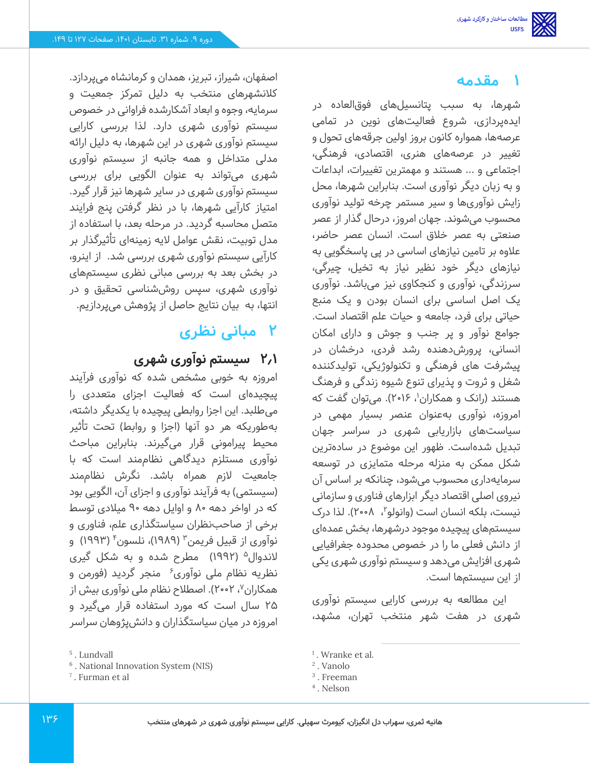## **1 مقدمه**

شهرها، به سبب پتانسیلهای فوق العاده در ایده پردازی، شروع فعالیت های نوین در تمامی عرصه ها، همواره کانون بروز اولین جرقههای تحول و تغییر در عرصه های هنری، اقتصادی، فرهنگی، اجتماعی و ... هستند و مهمترین تغییرات، ابداعات و به زبان دیگر نوآوری است. بنابراین شهرها، محل زایش نوآوری ها و سیر مستمر چرخه تولید نوآوری محسوب می شوند. جهان امروز، درحال گذار از عصر صنعتی به عصر خالق است. انسان عصر حاضر، عالوه بر تامین نیازهای اساسی در پی پاسخگویی به نیازهای دیگر خود نظیر نیاز به تخیل، چیرگی، سرزندگی، نوآوری و کنجکاوی نیز می باشد. نوآوری یک اصل اساسی برای انسان بودن و یک منبع حیاتی برای فرد، جامعه و حیات علم اقتصاد است. جوامع نوآور و پر جنب و جوش و دارای امکان انسانی، پرورش دهنده رشد فردی، درخشان در پیشرفت های فرهنگی و تکنولوژیکی، تولیدکننده شغل و ثروت و پذیرای تنوع شیوه زندگی و فرهنگ هستند (رانک و همکاران<sup>۱</sup>، ۲۰۱۶). میتوان گفت که امروزه، نوآوری بهعنوان عنصر بسیار مهمی در سیاستهای بازاریابی شهری در سراسر جهان تبدیل شدهاست. ظهور این موضوع در ساده ترین شکل ممکن به منزله مرحله متمایزی در توسعه سرمایهداری محسوب می شود، چنانکه بر اساس آن نیروی اصلی اقتصاد دیگر ابزارهای فناوری و سازمانی نیست، بلکه انسان است (وانولو<sup>۲</sup>، ۲۰۰۸). لذا درک سیستمهای پیچیده موجود درشهرها، بخش عمده ای از دانش فعلی ما را در خصوص محدوده جغرافیایی شهری افزایش می دهد و سیستم نوآوری شهری یکی از این سیستم ها است.

این مطالعه به بررسی کارایی سیستم نوآوری شهری در هفت شهر منتخب تهران، مشهد،

اصفهان، شیراز، تبریز، همدان و کرمانشاه می پردازد. کالنشهرهای منتخب به دلیل تمرکز جمعیت و سرمایه، وجوه و ابعاد آشکارشده فراوانی در خصوص سیستم نوآوری شهری دارد. لذا بررسی کارایی سیستم نوآوری شهری در این شهرها، به دلیل ارائه مدلی متداخل و همه جانبه از سیستم نوآوری شهری می تواند به عنوان الگویی برای بررسی سیستم نوآوری شهری در سایر شهرها نیز قرار گیرد. امتیاز کارآیی شهرها، با در نظر گرفتن پنج فرایند متصل محاسبه گردید. در مرحله بعد، با استفاده از مدل توبیت، نقش عوامل الیه زمینهای تأثیرگذار بر کارآیی سیستم نوآوری شهری بررسی شد. از اینرو، در بخش بعد به بررسی مبانی نظری سیستمهای نوآوری شهری، سپس روششناسی تحقیق و در انتها، به بیان نتایج حاصل از پژوهش می پردازیم.

## **2 مبانی نظری**

### **2.1 سیستم نوآوری شهری**

امروزه به خوبی مشخص شده که نوآوری فرآیند پیچیدهای است که فعالیت اجزای متعددی را میطلبد. این اجزا روابطی پیچیده با یکدیگر داشته، بهطوریکه هر دو آنها (اجزا و روابط) تحت تأثیر محیط پیرامونی قرار می گیرند. بنابراین مباحث نوآوری مستلزم دیدگاهی نظاممند است که با جامعیت الزم همراه باشد. نگرش نظام مند (سیستمی) به فرآیند نوآوری و اجزای آن، الگویی بود که در اواخر دهه 80 و اوایل دهه 90 میالدی توسط برخی از صاحب نظران سیاستگذاری علم، فناوری و نوآوری از قبیل فریمن ّ (۱۹۸۹)، نلسون ٔ (۱۹۹۳) و لاندوال<sup>۵</sup> (۱۹۹۲) ً مطرح شده و به شکل گیری نظریه نظام ملی نوآوری<sup>۶</sup> منجر گردید (فورمن و همکاران<sup>۷</sup>، ۲۰۰۲). اصطلاح نظام ملی نوآوری بیش از 25 سال است که مورد استفاده قرار می گیرد و امروزه در میان سیاستگذاران و دانش پژوهان سراسر

<sup>1</sup> . Wranke et al.

<sup>2</sup> . Vanolo

<sup>3</sup> . Freeman

<sup>4</sup> . Nelson

<sup>5</sup> . Lundvall

<sup>6</sup> . National Innovation System (NIS)

<sup>7</sup> . Furman et al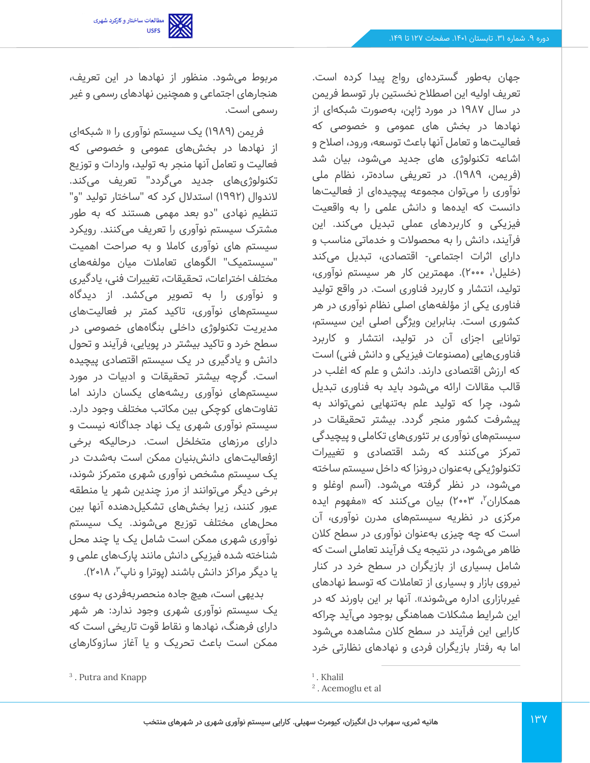

جهان بهطور گستردهای رواج پیدا کرده است. تعریف اولیه این اصطالح نخستین بار توسط فریمن در سال 1987 در مورد ژاپن، به صورت شبکه ای از نهادها در بخش های عمومی و خصوصی که فعالیتها و تعامل آنها باعث توسعه، ورود، اصالح و اشاعه تکنولوژی های جدید میشود، بیان شد (فریمن، ۱۹۸۹). در تعریفی سادهتر، نظام ملی نوآوری را می توان مجموعه پیچیدهای از فعالیتها دانست که ایده ها و دانش علمی را به واقعیت فیزیکی و کاربردهای عملی تبدیل می کند. این فرآیند، دانش را به محصوالت و خدماتی مناسب و دارای اثرات اجتماعی- اقتصادی، تبدیل می کند (خلیل'، ۲۰۰۰). مهمترین کار هر سیستم نوآوری، تولید، انتشار و کاربرد فناوری است. در واقع تولید فناوری یکی از مؤلفه های اصلی نظام نوآوری در هر کشوری است. بنابراین ویژگی اصلی این سیستم، توانایی اجزای آن در تولید، انتشار و کاربرد فناوریهایی )مصنوعات فیزیکی و دانش فنی( است که ارزش اقتصادی دارند. دانش و علم که اغلب در قالب مقاالت ارائه می شود باید به فناوری تبدیل شود، چرا که تولید علم بهتنهایی نمی تواند به پیشرفت کشور منجر گردد. بیشتر تحقیقات در سیستمهای نوآوری بر تئوری های تکاملی و پیچیدگی تمرکز می کنند که رشد اقتصادی و تغییرات تکنولوژیکی به عنوان درونزا که داخل سیستم ساخته میشود، در نظر گرفته می شود. )آسم اوغلو و همکاران<sup>۲</sup>، ۲۰۰۳) بیان میکنند که «مفهوم ایده مرکزی در نظریه سیستمهای مدرن نوآوری، آن است که چه چیزی به عنوان نوآوری در سطح کالن ظاهر می شود، در نتیجه یک فرآیند تعاملی است که شامل بسیاری از بازیگران در سطح خرد در کنار نیروی بازار و بسیاری از تعامالت که توسط نهادهای غیربازاری اداره می شوند». آنها بر این باورند که در این شرایط مشکالت هماهنگی بوجود می آید چراکه کارایی این فرآیند در سطح کالن مشاهده می شود اما به رفتار بازیگران فردی و نهادهای نظارتی خرد

مربوط می شود. منظور از نهادها در این تعریف، هنجارهای اجتماعی و همچنین نهادهای رسمی و غیر رسمی است.

فریمن ) 1989( یک سیستم نوآوری را » شبکه ای از نهادها در بخشهای عمومی و خصوصی که فعالیت و تعامل آنها منجر به تولید، واردات و توزیع تکنولوژی های جدید می گردد" تعریف می کند. لاندوال (۱۹۹۲) استدلال کرد که "ساختار تولید "و" تنظیم نهادی "دو بعد مهمی هستند که به طور مشترک سیستم نوآوری را تعریف می کنند. رویکرد سیستم های نوآوری کامال و به صراحت اهمیت "سیستمیک" الگوهای تعامالت میان مولفه های مختلف اختراعات، تحقیقات، تغییرات فنی، یادگیری و نوآوری را به تصویر می کشد. از دیدگاه سیستمهای نوآوری، تاکید کمتر بر فعالیت های مدیریت تکنولوژی داخلی بنگاههای خصوصی در سطح خرد و تاکید بیشتر در پویایی، فرآیند و تحول دانش و یادگیری در یک سیستم اقتصادی پیچیده است. گرچه بیشتر تحقیقات و ادبیات در مورد سیستمهای نوآوری ریشه های یکسان دارند اما تفاوتهای کوچکی بین مکاتب مختلف وجود دارد. سیستم نوآوری شهری یک نهاد جداگانه نیست و دارای مرزهای متخلخل است. درحالیکه برخی ازفعالیتهای دانش بنیان ممکن است به شدت در یک سیستم مشخص نوآوری شهری متمرکز شوند، برخی دیگر می توانند از مرز چندین شهر یا منطقه عبور کنند، زیرا بخش های تشکیلدهنده آنها بین محلهای مختلف توزیع می شوند. یک سیستم نوآوری شهری ممکن است شامل یک یا چند محل شناخته شده فیزیکی دانش مانند پارکهای علمی و یا دیگر مراکز دانش باشند (پوترا و ناپ<sup>۳</sup>، ۲۰۱۸).

بدیهی است، هیچ جاده منحصربه فردی به سوی یک سیستم نوآوری شهری وجود ندارد: هر شهر دارای فرهنگ، نهادها و نقاط قوت تاریخی است که ممکن است باعث تحریک و یا آغاز سازوکارهای

<sup>1</sup> . Khalil

<sup>2</sup> . Acemoglu et al

<sup>3</sup> . Putra and Knapp

**هانیه ثمری، سهراب دل انگیزان، کیومرث سهیلی. کارایی سیستم نوآوری شهری در شهرهای منتخب**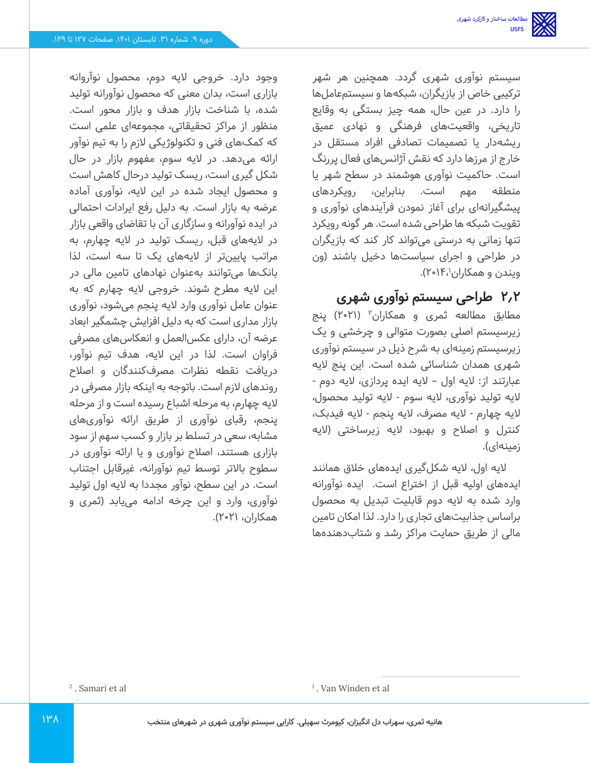سیستم نوآوری شهری گردد. همچنین هر شهر ترکیبی خاص از بازیگران، شبکهها و سیستمعاملها را دارد. در عین حال، همه چیز بستگی به وقایع تاریخی، واقعیت های فرهنگی و نهادی عمیق ریشه دار یا تصمیمات تصادفی افراد مستقل در خارج از مرزها دارد که نقش آژانس های فعال پررنگ است. حاکمیت نوآوری هوشمند در سطح شهر یا منطقه مهم است. بنابراین، رویکردهای پیشگیرانه ای برای آغاز نمودن فرآیندهای نوآوری و تقویت شبکه ها طراحی شده است. هر گونه رویکرد تنها زمانی به درستی می تواند کار کند که بازیگران در طراحی و اجرای سیاست ها دخیل باشند )ون ویندن و همکاران۱۴٬۱۴٬).

## **2.2 طراحی سیستم نوآوری شهری**

مطابق مطالعه ثمری و همکاران<sup>۲</sup> (۲۰۲۱) پنج زیرسیستم اصلی بصورت متوالی و چرخشی و یک زیرسیستم زمینهای به شرح ذیل در سیستم نوآوری شهری همدان شناسائی شده است. این پنج الیه عبارتند از: الیه اول – الیه ایده پردازی، الیه دوم - الیه تولید نوآوری، الیه سوم - الیه تولید محص ول، الیه چهارم - الیه مصرف، الیه پنجم - الیه فیدبک، کنترل و اصالح و بهبود، الیه زیرساختی )الیه زمینهای(.

الیه اول، الیه شکلگیری ایدههای خالق همانند ایده های اولیه قبل از اختراع است. ایده نوآورانه وارد شده به الیه دوم قابلیت تبدیل به محصول براساس جذابیت های تجاری را دارد. لذا امکان تامین مالی از طریق حمایت مراکز رشد و شتاب دهنده ها

وجود دارد. خروجی الیه دوم، محصول نوآروانه بازاری است، بدان معنی که محصول نوآورانه تولید شده، با شناخت بازار هدف و بازار محور است. منظور از مراکز تحقیقاتی، مجموعهای علمی است که کمک های فنی و تکنولوژیکی الزم را به تیم نوآور ارائه میدهد. در الیه سوم، مفهوم بازار در حال شکل گیری است، ریسک تولید درحال کاهش است و محصول ایجاد شده در این الیه، نوآوری آماده عرضه به بازار است. به دلیل رفع ایرادات احتمالی در ایده نوآورانه و سازگاری آن با تقاضای واقعی بازار در الیه های قبل، ریسک تولید در الیه چهارم، به مراتب پایین تر از الیه های یک تا سه است، لذا بانک ها می توانند به عنوان نهادهای تامین مالی در این الیه مطرح شوند. خروجی الیه چهارم که به عنوان عامل نوآوری وارد الیه پنجم می شود، نوآوری بازار مداری است که به دلیل افزایش چشمگیر ابعاد عرضه آن، دارای عکس العمل و انعکاس های مصرفی فراوان است. لذا در این الیه، هدف تیم نوآور، دریافت نقطه نظرات مصرفکنندگان و اصالح روندهای الزم است. باتوجه به اینکه بازار مصرفی در الیه چهارم، به مرحله اشباع رسیده است و از مرحله پنجم، رقبای نوآوری از طریق ارائه نوآوری های مشابه، سعی در تسلط بر بازار و کسب سهم از سود بازاری هستند، اصالح نوآوری و یا ارائه نوآوری در سطوح باالتر توسط تیم نوآورانه، غیرقابل اجتناب است. در این سطح، نوآور مجددا به الیه اول تولید نوآوری، وارد و این چرخه ادامه می یابد )ثمری و همکاران، 2021(.

 $\frac{1}{2}$ . Samari et al  $\frac{1}{2}$  . Van Winden et al

. Samari et al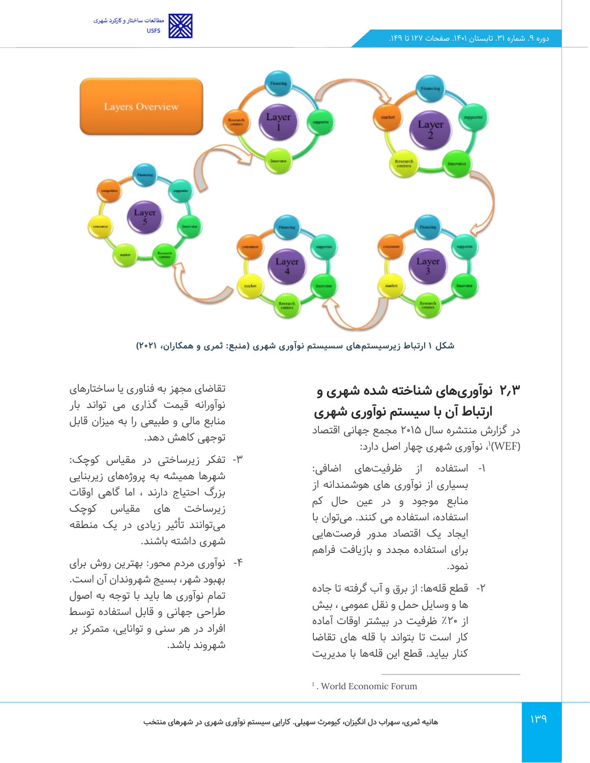



**شکل 1 ارتباط زیرسیستم های سسیستم نوآوری شهری )منبع: ثمری و همکاران، 2021(** 

# **2.3 نوآوری های شناخته شده شهری و ارتباط آن با سیستم نوآوری شهری**

در گزارش منتشره سال 2015 مجمع جهانی اقتصاد )WEF( 1 ، نوآوری شهری چهار اصل دارد:

- -1 استفاده از ظرفیت های اضافی: بسیاری از نوآوری های هوشمندانه از منابع موجود و در عین حال کم استفاده، استفاده می کنند. میتوان با ایجاد یک اقتصاد مدور فرصت هایی برای استفاده مجدد و بازیافت فراهم نمود.
- -2 قطع قله ها: از برق و آب گرفته تا جاده ها و وسایل حمل و نقل عمومی ، بیش از ٪20 ظرفیت در بیشتر اوقات آماده کار است تا بتواند با قله های تقاضا کنار بیاید. قطع این قله ها با مدیریت

تقاضای مجهز به فناوری یا ساختارهای نوآورانه قیمت گذاری می تواند بار منابع مالی و طبیعی را به میزان قابل توجهی کاهش دهد.

- -3 تفکر زیرساختی در مقیاس کوچک: شهرها همیشه به پروژه های زیربنایی بزرگ احتیاج دارند ، اما گاهی اوقات زیرساخت های مقیاس کوچک میتوانند تأثیر زیادی در یک منطقه شهری داشته باشند.
- -4 نوآوری مردم محور: بهترین روش برای بهبود شهر، بسیج شهروندان آن است. تمام نوآوری ها باید با توجه به اصول طراحی جهانی و قابل استفاده توسط افراد در هر سنی و توانایی، متمرکز بر شهروند باشد.

1 . World Economic Forum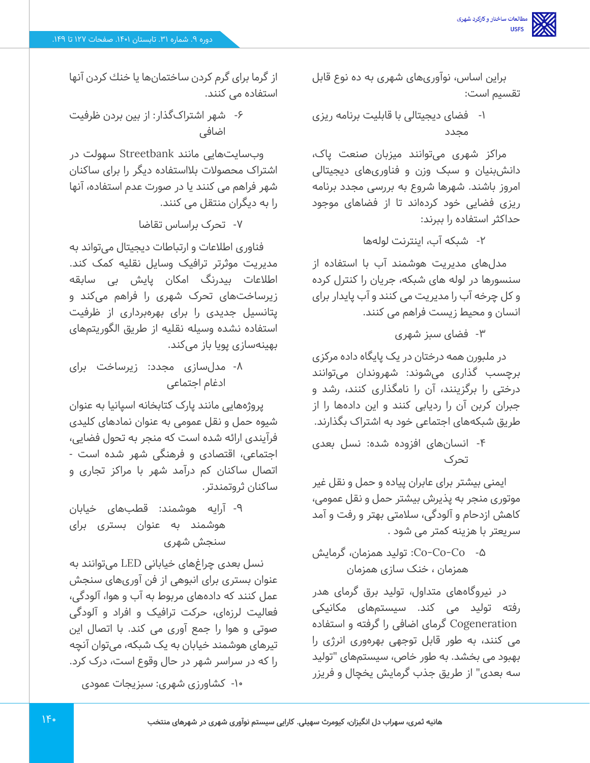براین اساس، نوآوری های شهری به ده نوع قابل تقسیم است:

-1 فضای دیجیتالی با قابلیت برنامه ریزی مجدد

مراکز شهری می توانند میزبان صنعت پاک، دانش بنیان و سبک وزن و فناوری های دیجیتالی امروز باشند. شهرها شروع به بررسی مجدد برنامه ریزی فضایی خود کرده اند تا از فضاهای موجود حداکثر استفاده را ببرند:

-2 شبکه آب، اینترنت لوله ها

مدل های مدیریت هوشمند آب با استفاده از سنسورها در لوله های شبکه، جریان را کنترل کرده و کل چرخه آب را مدیریت می کنند و آب پایدار برای انسان و محیط زیست فراهم می کنند.

-3 فضای سبز شهری

در ملبورن همه درختان در یک پایگاه داده مرکزی برچسب گذاری می شوند: شهروندان می توانند درختی را برگزینند، آن را نامگذاری کنند، رشد و جبران کربن آن را ردیابی کنند و این دادهها را از طریق شبکه های اجتماعی خود به اشتراک بگذارند.

-4 انسان های افزوده شده: نسل بعدی تحرک

ایمنی بیشتر برای عابران پیاده و حمل و نقل غیر موتوری منجر به پذیرش بیشتر حمل و نقل عمومی، کاهش ازدحام و آلودگی، سلامتی بهتر و رفت و آمد سریعتر با هزینه کمتر می شود .

-5 Co-Co-Co: تولید همزمان، گرمایش همزمان ، خنک سازی همزمان

در نیروگاه های متداول، تولید برق گرمای هدر رفته تولید می کند. سیستمهای مکانیکی Cogeneration گرمای اضافی را گرفته و استفاده می کنند، به طور قابل توجهی بهرهوری انرژی را بهبود می بخشد. به طور خاص، سیستمهای "تولید سه بعدی" از طریق جذب گرمايش یخچال و فریزر

از گرما برای گرم كردن ساختمانها یا خنك كردن آنها استفاده می كنند.

-6 شهر اشتراکگذار: از بین بردن ظرفیت اضافی

وبسایت هایی مانند Streetbank سهولت در اشتراک محصوالت بالاستفاده دیگر را برای ساکنان شهر فراهم می کنند یا در صورت عدم استفاده، آنها را به دیگران منتقل می کنند.

-7 تحرک براساس تقاضا

فناوری اطالعات و ارتباطات دیجیتال می تواند به مدیریت موثرتر ترافیک وسایل نقلیه کمک کند. اطالعات بیدرنگ امکان پایش بی سابقه زیرساخت های تحرک شهری را فراهم می کند و پتانسیل جدیدی را برای بهره برداری از ظرفیت استفاده نشده وسیله نقلیه از طریق الگوریتم های بهینهسازی پویا باز می کند.

-8 مدل سازی مجدد: زیرساخت برای ادغام اجتماعی

پروژه هایی مانند پارک کتابخانه اسپانیا به عنوان شیوه حمل و نقل عمومی به عنوان نمادهای کلیدی فرآیندی ارائه شده است که منجر به تحول فضایی، اجتماعی، اقتصادی و فرهنگی شهر شده است - اتصال ساکنان کم درآمد شهر با مراکز تجاری و ساکنان ثروتمندتر.

-9 آرایه هوشمند: قطب های خیابان هوشمند به عنوان بستری برای سنجش شهری

نسل بعدی چراغ های خیابانی LED می توانند به عنوان بستری برای انبوهی از فن آوری های سنجش عمل کنند که داده های مربوط به آب و هوا، آلودگی، فعالیت لرزه ای، حرکت ترافیک و افراد و آلودگی صوتی و هوا را جمع آوری می کند. با اتصال این تیرهای هوشمند خیابان به یک شبکه، می توان آنچه را که در سراسر شهر در حال وقوع است، درک کرد.

-10 کشاورزی شهری: سبزیجات عمودی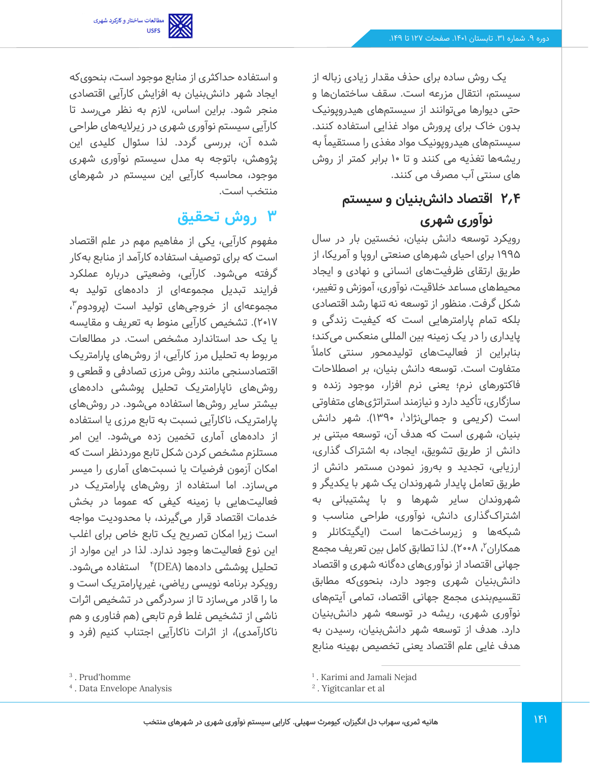

یک روش ساده برای حذف مقدار زیادی زباله از سیستم، انتقال مزرعه است. سقف ساختمان ها و حتی دیوارها می توانند از سیستمهای هیدروپونیک بدون خاک برای پرورش مواد غذایی استفاده کنند. به سیستمهای هیدروپونیک مواد مغذی را مستقیما ً ریشه ها تغذیه می کنند و تا 10 برابر کمتر از روش های سنتی آب مصرف می کنند.

# **2.4 اقتصاد دانش بنیان و سیستم نوآوری شهری**

رویکرد توسعه دانش بنیان، نخستین بار در سال 1995 برای احیای شهرهای صنعتی اروپا و آمریکا، از طریق ارتقای ظرفیت های انسانی و نهادی و ایجاد محیطهای مساعد خالقیت، نوآوری، آموزش و تغییر، شکل گرفت. منظور از توسعه نه تنها رشد اقتصادی بلکه تمام پارامترهایی است که کیفیت زندگی و پایداری را در یک زمینه بین المللی منعکس می کند؛ بنابراین از فعالیتهای تولیدمحور سنتی کاملاً متفاوت است. توسعه دانش بنیان، بر اصطالحات فاکتورهای نرم؛ یعنی نرم افزار، موجود زنده و سازگاری، تأکید دارد و نیازمند استراتژیهای متفاوتی است (کریمی و جمالینژاد<sup>י</sup>، ۱۳۹۰). شهر دانش بنیان، شهری است که هدف آن، توسعه مبتنی بر دانش از طریق تشویق، ایجاد، به اشتراک گذاری، ارزیابی، تجدید و بهروز نمودن مستمر دانش از طریق تعامل پایدار شهروندان یک شهر با یکدیگر و شهروندان سایر شهرها و با پشتیبانی به اشتراکگذاری دانش، نوآوری، طراحی مناسب و شبکهها و زیرساخت ها است )ایگیتکانلر و همکاران ّ، ۲۰۰۸). لذا تطابق کامل بین تعریف مجمع جهانی اقتصاد از نوآوری های ده گانه شهری و اقتصاد دانش بنیان شهری وجود دارد، بنحوی که مطابق تقسیمبندی مجمع جهانی اقتصاد، تمامی آیتم های نوآوری شهری، ریشه در توسعه شهر دانش بنیان دارد. هدف از توسعه شهر دانش بنیان، رسیدن به هدف غایی علم اقتصاد یعنی تخصیص بهینه منابع

و استفاده حداکثری از منابع موجود است، بنحوی که ایجاد شهر دانش بنیان به افزایش کارآیی اقتصادی منجر شود. براین اساس، الزم به نظر می رسد تا کارآیی سیستم نوآوری شهری در زیرالیههای طراحی شده آن، بررسی گردد. لذا سئوال کلیدی این پژوهش، باتوجه به مدل سیستم نوآوری شهری موجود، محاسبه کارآیی این سیستم در شهرهای منتخب است.

# **3 روش تحقیق**

مفهوم کارآیی، یکی از مفاهیم مهم در علم اقتصاد است که برای توصیف استفاده کارآمد از منابع بهکار گرفته میشود. کارآیی، وضعیتی درباره عملکرد فرایند تبدیل مجموعهای از داده های تولید به مجموعهای از خروجیهای تولید است (پرودوم<sup>۳</sup>، 2017(. تشخیص کارآیی منوط به تعریف و مقایسه یا یک حد استاندارد مشخص است. در مطالعات مربوط به تحلیل مرز کارآیی، از روش های پارامتریک اقتصادسنجی مانند روش مرزی تصادفی و قطعی و روشهای ناپارامتریک تحلیل پوششی داده های بیشتر سایر روش ها استفاده می شود. در روش های پارامتریک، ناکارآیی نسبت به تابع مرزی یا استفاده از داده های آماری تخمین زده می شود. این امر مستلزم مشخص کردن شکل تابع موردنظر است که امکان آزمون فرضیات یا نسبت های آماری را میسر میسازد. اما استفاده از روشهای پارامتریک در فعالیتهایی با زمینه کیفی که عموما در بخش خدمات اقتصاد قرار می گیرند، با محدودیت مواجه است زیرا امکان تصریح یک تابع خاص برای اغلب این نوع فعالیت ها وجود ندارد. لذا در این موارد از تحلیل پوششی دادهها (DEA)\* استفاده میشود. رویکرد برنامه نویسی ریاضی، غیرپارامتریک است و ما را قادر می سازد تا از سردرگمی در تشخیص اثرات ناشی از تشخیص غلط فرم تابعی )هم فناوری و هم ناکارآمدی)، از اثرات ناکارآیی اجتناب کنیم (فرد و

<sup>3</sup> . Prud'homme

<sup>4</sup> . Data Envelope Analysis

<sup>1</sup> . Karimi and Jamali Nejad

<sup>2</sup> . Yigitcanlar et al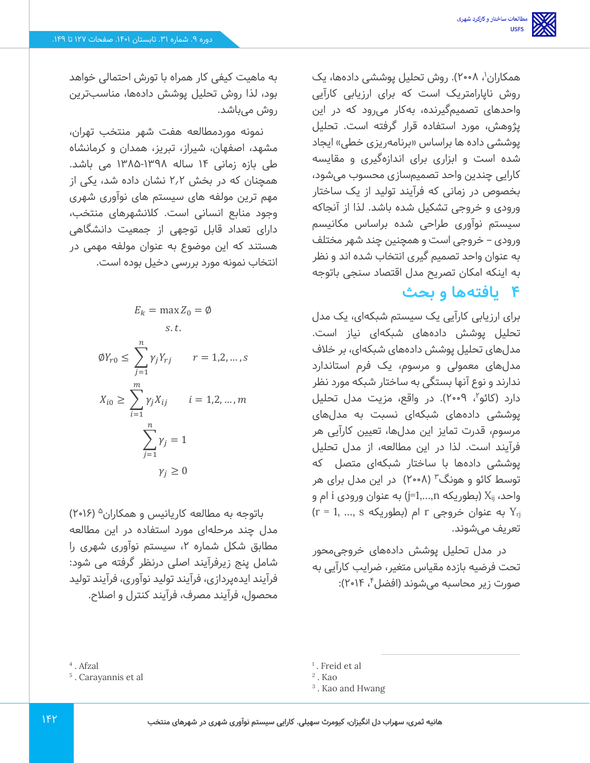همکاران'، ۲۰۰۸). روش تحلیل پوششی دادهها، یک روش ناپارامتریک است که برای ارزیابی کارآیی واحدهای تصمیم گیرنده، به کار می رود که در این پژوهش، مورد استفاده قرار گرفته است. تحلیل پوششی داده ها براساس «برنامهریزی خطی» ایجاد شده است و ابزاری برای اندازهگیری و مقایسه کارایی چندین واحد تصمیم سازی محسوب می شود، بخصوص در زمانی که فرآیند تولید از یک ساختار ورودی و خروجی تشکیل شده باشد. لذا از آنجاکه سیستم نوآوری طراحی شده براساس مکانیسم ورودی – خروجی است و همچنین چند شهر مختلف به عنوان واحد تصمیم گیری انتخاب شده اند و نظر به اینکه امکان تصریح مدل اقتصاد سنجی باتوجه

# **4 یافتهها و بحث**

برای ارزیابی کارآیی یک سیستم شبکهای، یک مدل تحلیل پوشش داده های شبکهای نیاز است. مدل های تحلیل پوشش داده های شبکه ای، بر خالف مدل های معمولی و مرسوم، یک فرم استاندارد ندارند و نوع آنها بستگی به ساختار شبکه مورد نظر دارد (کائو۲، ۲۰۰۹). در واقع، مزیت مدل تحلیل پوششی دادههای شبکهای نسبت به مدلهای مرسوم، قدرت تمایز این مدل ها، تعیین کارآیی هر فرآیند است. لذا در این مطالعه، از مدل تحلیل پوششی دادهها با ساختار شبکهای متصل که توسط کائو و هونگ<sup>۳</sup> (۲۰۰۸) در این مدل برای هر واحد، X<sub>ij</sub> (بطوریکه j=1,…,n) به عنوان ورودی i ام و  $Y_{\text{ri}}$  به عنوان خروجی r ام (بطوریکه s (r = 1, …, s تعریف می شوند.

در مدل تحلیل پوشش دادههای خروجی محور تحت فرضیه بازده مقیاس متغیر، ضرایب کارآیی به صورت زیر محاسبه میشوند (افضل<sup>۴</sup>، ۲۰۱۴):

دوره ۹. شماره ۳۱. تابستان ۱۴۰۱. صفحات ۱۲۷ تا ۱۴۹.

به ماهیت کیفی کار همراه با تورش احتمالی خواهد بود، لذا روش تحلیل پوشش داده ها، مناسب ترین روش می باشد.

نمونه موردمطالعه هفت شهر منتخب تهران، مشهد، اصفهان، شیراز، تبریز، همدان و کرمانشاه طی بازه زمانی ۱۴ ساله ۱۳۹۸-۱۳۸۵ می باشد. همچنان که در بخش 2.2 نشان داده شد، یکی از مهم ترین مولفه های سیستم های نوآوری شهری وجود منابع انسانی است. کالنشهرهای منتخب، دارای تعداد قابل توجهی از جمعیت دانشگاهی هستند که این موضوع به عنوان مولفه مهمی در انتخاب نمونه مورد بر رسی دخیل بوده است.

$$
E_k = \max Z_0 = \emptyset
$$
  
s.t.  

$$
\emptyset Y_{r0} \le \sum_{j=1}^n \gamma_j Y_{rj} \qquad r = 1, 2, ..., s
$$
  

$$
X_{i0} \ge \sum_{i=1}^m \gamma_j X_{ij} \qquad i = 1, 2, ..., m
$$
  

$$
\sum_{j=1}^n \gamma_j = 1
$$
  

$$
\gamma_j \ge 0
$$

 )2016( <sup>5</sup> باتوجه به مطالعه کاریانیس و همکاران مدل چند مرحله ای مورد استفاده در این مطالعه مطابق شکل شماره ۲، سیستم نوآوری شهری را شامل پنج زیرفرآیند اصلی درنظر گرفته می شود: فرآیند ایده پردازی، فرآیند تولید نوآوری، فرآیند تولید محصول، فرآیند مصرف، فرآیند کنترل و اصالح.

1 . Freid et al

<sup>4</sup> . Afzal

<sup>5</sup> . Carayannis et al

<sup>2</sup> . Kao

<sup>&</sup>lt;sup>3</sup>. Kao and Hwang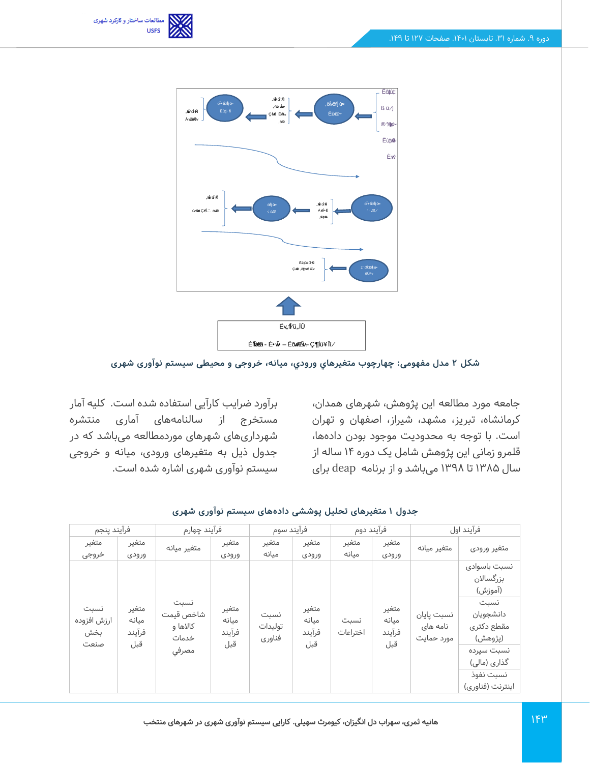



#### **شکل 2 مدل مفهومی: چهارچوب متغیرهاي ورودي، میانه، خروجی و محیطی سیستم نوآوری شهری**

جامعه مورد مطالعه این پژوهش، شهرهای همدان، کرمانشاه، تبریز، مشهد، شیراز، اصفهان و تهران است. با توجه به محدودیت موجود بودن داده ها، قلمرو زمانی این پژوهش شامل یک دوره 14 ساله از سال 1385 تا 1398 می باشد و از برنامه deap برای

برآورد ضرایب کارآیی استفاده شده است. کلیه آمار مستخرج از سالنامههای آماری منتشره شهرداری های شهرهای موردمطالعه میباشد که در جدول ذیل به متغیرهای ورودی، میانه و خروجی سیستم نوآوری شهری اشاره شده است.

| فرآيند پنجم                        |                                 | فرآيند چهارم                                    |                                 | فرآيند سوم                |                                 | فرآيند دوم       |                                 |                                      | فرآيند اول                                                                                                                                        |
|------------------------------------|---------------------------------|-------------------------------------------------|---------------------------------|---------------------------|---------------------------------|------------------|---------------------------------|--------------------------------------|---------------------------------------------------------------------------------------------------------------------------------------------------|
| متغير<br>خروجى                     | متغير<br>ورودى                  | متغير ميانه                                     | متغير<br>ورودى                  | متغير<br>مىانە            | متغير<br>ورودى                  | متغير<br>مىانە   | متغير<br>ورودى                  | متغير ميانه                          | متغير ورودى                                                                                                                                       |
| نسبت<br>ارزش افزوده<br>بخش<br>صنعت | متغير<br>میانه<br>فرآيند<br>قبل | نسبت<br>شاخص قيمت<br>کالاها و<br>خدمات<br>مصرفى | متغير<br>ميانه<br>فرآيند<br>قبل | نسبت<br>توليدات<br>فناوري | متغير<br>ميانه<br>فرآيند<br>قبل | نسبت<br>اختراعات | متغير<br>میانه<br>فرآيند<br>قبل | نسبت پایان<br>نامه های<br>مورد حمایت | نسبت باسوادى<br>بزرگسالان<br>(آموزش)<br>نسبت<br>دانشجويان<br>مقطع دكترى<br>(پژوهش)<br>نسبت سپرده<br>گذاری (مالی)<br>نسبت نفوذ<br>اينترنت (فناوري) |

#### **جدول 1 متغیرهای تحلیل پوششی داده های سیستم نوآوری شهری**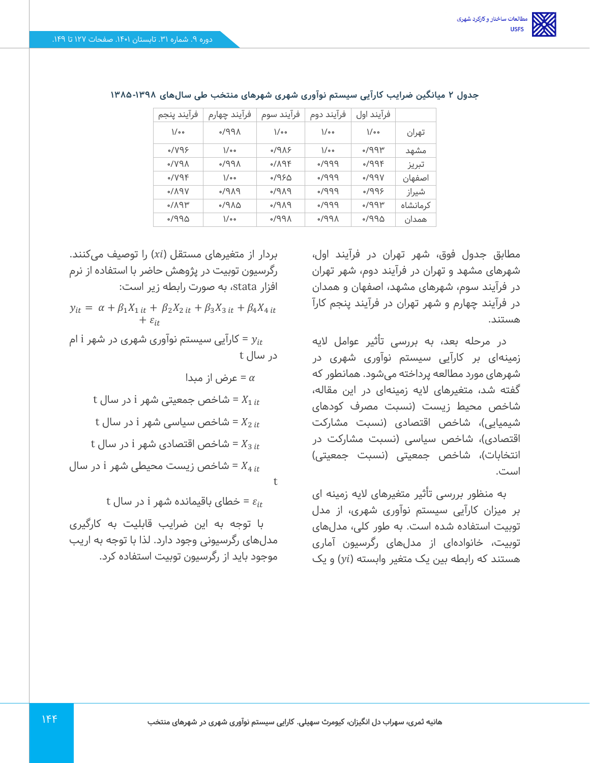| فرآيند ينجم    | فرآيند چهارم | فرآيند سوم               | فرآيند دوم        | فرآیند اول     |          |
|----------------|--------------|--------------------------|-------------------|----------------|----------|
| $\sqrt{\circ}$ | ۹۹۸،         | $\sqrt{\circ}$           | $\sqrt{\circ}$    | $\sqrt{\circ}$ | تهران    |
| $\sqrt{Y}$     | ە / \        | 919                      | $\sqrt{\circ}$    | ۳۹۹۳،          | مشهد     |
| $\Lambda$ PV   | ۹۹۸،         | $9P/\sqrt{9F}$           | $PPP\backslash o$ | 999F           | تبريز    |
| 0/VP           | ە / \        | ۵٬۹۶۵                    | $PPP\backslash o$ | VPP            | اصفهان   |
| 0/19V          | $P$ A $P$    | $P$ $\wedge$ $P$ $\circ$ | $PPP\backslash o$ | 8P             | شيراز    |
| $M$ ۹۳         | ۵۸۴/۰        | PAP                      | $PPP\$            | ۳۹۹۳،          | كرمانشاه |
| ۵۳۴۱۰          | ە / \        | ۸۹۹۸،                    | ۸۹۹۸،             | ۵۳۴۱۰          | همدان    |

جدول ۲ میانگین ضرایب کارآیی سیستم نوآوری شهری شهرهای منتخب طی سالهای ۱۳۹۸-۱۳۸۵

مطابق جدول فوق، شهر تهران در فرآیند اول، شهرهای مشهد و تهران در فرآیند دوم، شهر تهران در فرآیند سوم، شهرهای مشهد، اصفهان و همدان در فرآیند چهارم و شهر تهران در فرآیند پنجم کارآ هستند.

در مرحله بعد، به بررسی تأثیر عوامل الیه زمینهای بر کارآیی سیستم نوآوری شهری در شهرهای مورد مطالعه پرداخته میشود. همانطور که گفته شد، متغیرهای الیه زمینهای در این مقاله، شاخص محیط زیست )نسبت مصرف کودهای شیمیایی)، شاخص اقتصادی (نسبت مشارکت اقتصادی)، شاخص سیاسی (نسبت مشارکت در انتخابات)، شاخص جمعیتی) است.

به منظور بررسی تأثیر متغیرهای الیه زمینه ای بر میزان کارآیی سیستم نوآوری شهری، از مدل توبیت استفاده شده است. به طور کلی، مدل های توبیت، خانوادهای از مدلهای رگرسیون آماری هستند که رابطه بین یک متغیر وابسته ( $y$ ) و یک

بردار از متغیرهای مستقل ( $x$ i) را توصیف میکنند. رگرسیون توبیت در پژوهش حاضر با استفاده از نرم افزار stata، به صورت رابطه زیر است:

 $y_{it} = \alpha + \beta_1 X_{1 it} + \beta_2 X_{2 it} + \beta_3 X_{3 it} + \beta_4 X_{4 it}$  $+ \varepsilon_{it}$ 

ارآیی سیستم نوآوری شهری در شهر i ام $y_{it}$ در سال t

= عرض از مبدا

 $t$  شاخص جمعیتی شهر i در سال t =  $X_{1 it}$  $t$  شاخص سیاسی شهر i در سال t =  $X_{2\,it}$  $t$  شاخص اقتصادی شهر i در سال t =  $X_{3 it}$ شاخص زیست محیطی شهر i در سال =  $X_{4 it}$ 

 $t$  خطای باقیمانده شهر i در سال $\varepsilon_{it}$ 

با توجه به این ضرایب قابلیت به کارگیری مدل های رگرسیونی وجود دارد. لذا با توجه به اریب موجود باید از رگرسیون توبیت استفاده کرد.

t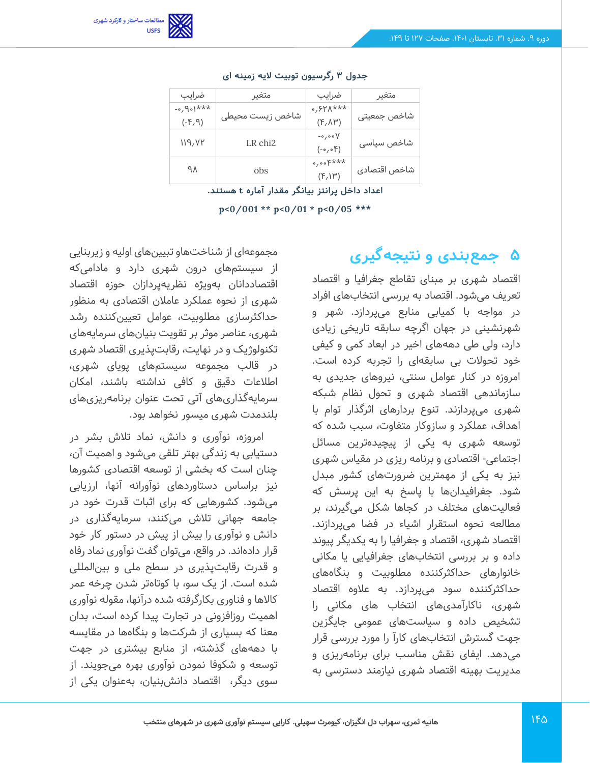

| ضرايب                        | متغير               | ضرايب                   | متغير        |
|------------------------------|---------------------|-------------------------|--------------|
| $**$ + $*$ + $\circ$ $\circ$ |                     | $0,511***$              |              |
| (F, 9)                       | شاخص زيست محيطى     | $(F, \Lambda^{\omega})$ | شاخص جمعيتى  |
|                              | LR chi <sub>2</sub> | $-o$ , o o $V$          |              |
| 119, VY                      |                     | $(-\circ, \circ)$       | شاخص سیاسی   |
| ٩٨                           |                     | $0,00$ <sup>E***</sup>  |              |
|                              | obs                 | $(F, \mathcal{W})$      | شاخص اقتصادى |

#### **جدول 3 رگرسیون توبیت الیه زمینه ای**

**اعداد داخل پرانتز بیانگر مقدار آماره t هستند.** 

**p<0/001 \*\* p<0/01 \* p<0/05 \*\*\***

# **5 جمعبندی و نتیجهگیری**

اقتصاد شهری بر مبنای تقاطع جغرافیا و اقتصاد تعریف می شود. اقتصاد به بررسی انتخاب های افراد در مواجه با کمیابی منابع می پردازد. شهر و شهرنشینی در جهان اگرچه سابقه تاریخی زیادی دارد، ولی طی دهه های اخیر در ابعاد کمی و کیفی خود تحولات بی سابقهای را تجربه کرده است. امروزه در کنار عوامل سنتی، نیروهای جدیدی به سازماندهی اقتصاد شهری و تحول نظام شبكه شهری می پردازند. تنوع بردارهای اثرگذار توام با اهداف، عملكرد و سازوکار متفاوت، سبب شده که توسعه شهری به یكی از پیچیده ترین مسائل اجتماعی - اقتصادی و برنامه ریزی در مقیاس شهری نیز به یكی از مهمترین ضرورتهای کشور مبدل شود. جغرافیدان ها با پاسخ به این پرسش که فعالیتهای مختلف در کجاها شكل می گیرند، بر مطالعه نحوه استقرار اشیاء در فضا می پردازند. اقتصاد شهری، اقتصاد و جغرافیا را به یكدیگر پیوند داده و بر بررسی انتخاب های جغرافیایی یا مكانی خانوارهای حداکثرکننده مطلوبیت و بنگاه های حداکثرکننده سود می پردازد. به عالوه اقتصاد شهری، ناکارآمدیهای انتخاب های مكانی را تشخیص داده و سیاست های عمومی جایگزین جهت گسترش انتخاب های کارآ را مورد بررسی قرار میدهد. ایفای نقش مناسب برای برنامه ریزی و مدیریت بهینه اقتصاد شهری نیازمند دسترسی به

مجموعهای از شناختهاو تبیینهای اولیه و زیربنایی از سیستمهای درون شهری دارد و مادامی که اقتصاددانان به ویژه نظریهپردازان حوزه اقتصاد شهری از نحوه عملکرد عامالن اقتصادی به منظور حداکثرسازی مطلوبیت، عوامل تعیینکننده رشد شهری، عناصر موثر بر تقویت بنیان های سرمایه های تکنولوژیک و در نهایت، رقابت پذیری اقتصاد شهری در قالب مجموعه سیستمهای پویای شهری، اطالعات دقیق و کافی نداشته باشند، امکان سرمایهگذاریهای آتی تحت عنوان برنامه ریزیهای بلندمدت شهری میسور نخواهد بود.

امروزه، نوآوری و دانش، نماد تالش بشر در دستیابی به زندگی بهتر تلقی می شود و اهمیت آن، چنان است که بخشی از توسعه اقتصادی کشورها نیز براساس دستاوردهای نوآورانه آنها، ارزیابی میشود. کشورهایی که برای اثبات قدرت خود در جامعه جهانی تالش می کنند، سرمایهگذاری در دانش و نوآوری را بیش از پیش در دستور کار خود قرار داده اند. در واقع، می توان گفت نوآوری نماد رفاه و قدرت رقایت پذیری در سطح ملی و بین المللی شده است. از یک سو، با کوتاهتر شدن چرخه عمر کاالها و فناوری بکارگرفته شده درآنها، مقوله نوآوری اهمیت روزافزونی در تجارت پیدا کرده است، بدان معنا که بسیاری از شرکت ها و بنگاه ها در مقایسه با دهه های گذشته، از منابع بیشتری در جهت توسعه و شکوفا نمودن نوآوری بهره می جویند. از سوی دیگر، اقتصاد دانش بنیان، بهعنوان یکی از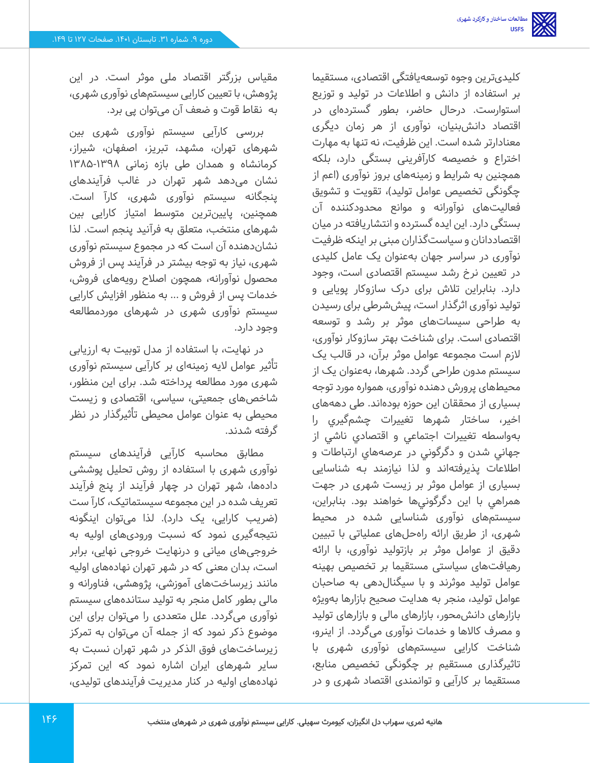کلیدی ترین وجوه توسعهیافتگی اقتصادی، مستقیما بر استفاده از دانش و اطالعات در تولید و توزیع استوارست. درحال حاضر، بطور گسترده ای در اقتصاد دانش بنیان، نوآوری از هر زمان دیگری معنادارتر شده است. این ظرفیت، نه تنها به مهارت اختراع و خصیصه کارآفرینی بستگی دارد، بلکه همچنین به شرایط و زمینههای بروز نوآوری )اعم از چگونگی تخصیص عوامل تولید)، تقویت و تشویق فعالیتهای نوآورانه و موانع محدودکننده آن بستگی دارد. این ایده گسترده و انتشاریافته در میان اقتصاددانان و سیاست گذاران مبنی بر اینکه ظرفیت نوآوری در سراسر جهان بهعنوان یک عامل کلیدی در تعیین نرخ رشد سیستم اقتصادی است، وجود دارد. بنابراین تالش برای درک سازوکار پویایی و تولید نوآوری اثرگذار است، پیش شرطی برای رسیدن به طراحی سیسات های موثر بر رشد و توسعه اقتصادی است. برای شناخت بهتر سازوکار نوآوری، لازم است مجموعه عوامل موثر برآن، در قالب یک سیستم مدون طراحی گردد. شهرها، به عنوان یک از محیطهای پرورش دهنده نوآوری، همواره مورد توجه بسیاری از محققان این حوزه بوده اند. طی دهه های اخیر، ساختار شهرها تغييرات چشم گيري را بهواسطه تغييرات اجتماعي و اقتصادي ناشي از جهاني شدن و دگرگوني در عرصه هاي ارتباطات و اطالعات پذیرفتهاند و لذا نيازمند بـه شناسایی بسیاری از عوامل موثر بر زیست شهری در جهت همراهي با اين دگرگوني ها خواهند بود. بنابراین، سیستمهای نوآوری شناسایی شده در محیط شهری، از طریق ارائه راه حلهای عملیاتی با تبیین دقیق از عوامل موثر بر بازتولید نوآوری، با ارائه رهیافتهای سیاستی مستقیما بر تخصیص بهینه عوامل تولید موثرند و با سیگنال دهی به صاحبان عوامل تولید، منجر به هدایت صحیح بازارها به ویژه بازارهای دانش محور، بازارهای مالی و بازارهای تولید و مصرف کاالها و خدمات نوآوری می گردد. از اینرو، شناخت کارایی سیستم های نوآوری شهری با تاثیرگذاری مستقیم بر چگونگی تخصیص منابع، مستقیما بر کارآیی و توانمندی اقتصاد شهری و در

مقیاس بزرگتر اقتصاد ملی موثر است. در این پژوهش، با تعیین کارایی سیستمهای نوآوری شهری، به نقاط قوت و ضعف آن می توان پی برد.

بررسی کارآیی سیستم نوآوری شهری بین شهرهای تهران، مشهد، تبریز، اصفهان، شیراز، کرمانشاه و همدان طی بازه زمانی 1385-1398 نشان می دهد شهر تهران در غالب فرآیندهای پنجگانه سیستم نوآوری شهری، کارآ است. همچنین، پایین ترین متوسط امتیاز کارایی بین شهرهای منتخب، متعلق به فرآنید پنجم است. لذا نشان دهنده آن است که در مجموع سیستم نوآوری شهری، نیاز به توجه بیشتر در فرآیند پس از فروش محصول نوآورانه، همچون اصالح رویه های فروش، خدمات پس از فروش و ... به منظور افزایش کارایی سیستم نوآوری شهری در شهرهای موردمطالعه وجود دارد.

در نهایت، با استفاده از مدل توبیت به ارزیابی تأثیر عوامل الیه زمینهای بر کارآیی سیستم نوآوری شهری مورد مطالعه پرداخته شد. برای این منظور، شاخصهای جمعیتی، سیاسی، اقتصادی و زیست محیطی به عنوان عوامل محیطی تأثیرگذار در نظر گرفته شدند.

مطابق محاسبه کارآیی فرآیندهای سیستم نوآوری شهری با استفاده از روش تحلیل پوششی داده ها، شهر تهران در چهار فرآیند از پنج فرآیند تعریف شده در این مجموعه سیستماتیک، کارآ ست )ضریب کارایی، یک دارد(. لذا می توان اینگونه نتیجهگیری نمود که نسبت ورودی های اولیه به خروجی های میانی و درنهایت خروجی نهایی، برابر است، بدان معنی که در شهر تهران نهاده های اولیه مانند زیرساخت های آموزشی، پژوهشی، فناورانه و مالی بطور کامل منجر به تولید ستاندههای سیستم نوآوری می گردد. علل متعددی را می توان برای این موضوع ذکر نمود که از جمله آن می توان به تمرکز زیرساخت های فوق الذکر در شهر تهران نسبت به سایر شهرهای ایران اشاره نمود که این تمرکز نهاده های اولیه در کنار مدیریت فرآیندهای تولیدی،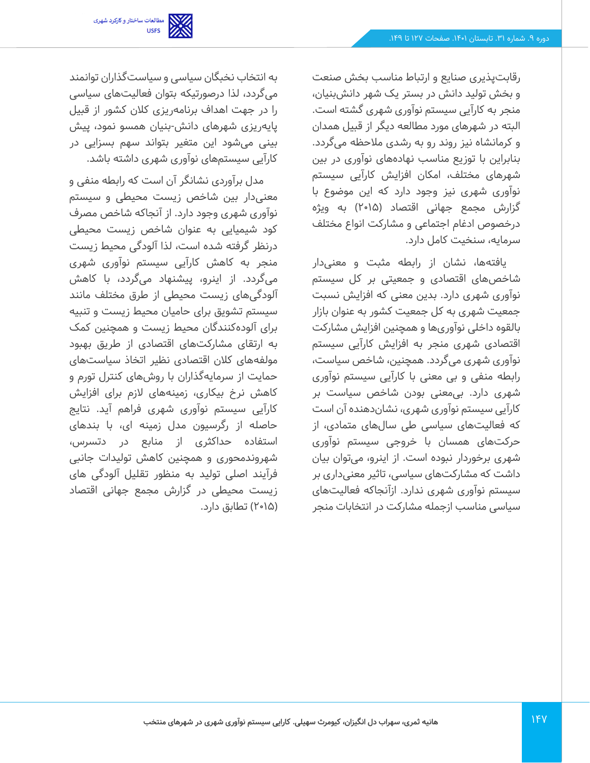

رقابت پذیری صنایع و ارتباط مناسب بخش صنعت و بخش تولید دانش در بستر یک شهر دانش بنیان، منجر به کارآیی سیستم نوآوری شهری گشته است. البته در شهرهای مورد مطالعه دیگر از قبیل همدان و کرمانشاه نیز روند رو به رشدی مالحظه می گردد. بنابراین با توزیع مناسب نهاده های نوآوری در بین شهرهای مختلف، امکان افزایش کارآیی سیستم نوآوری شهری نیز وجود دارد که این موضوع با گزارش مجمع جهانی اقتصاد (۲۰۱۵) به ویژه درخصوص ادغام اجتماعی و مشارکت انواع مختلف سرمایه، سنخیت کامل دارد.

یافتهها، نشان از رابطه مثبت و معنی دار شاخصهای اقتصادی و جمعیتی بر کل سیستم نوآوری شهری دارد. بدین معنی که افزایش نسبت جمعیت شهری به کل جمعیت کشور به عنوان بازار بالقوه داخلی نوآوری ها و همچنین افزایش مشارکت اقتصادی شهری منجر به افزایش کارآیی سیستم نوآوری شهری می گردد. همچنین، شاخص سیاست، رابطه منفی و بی معنی با کارآیی سیستم نوآوری شهری دارد. بی معنی بودن شاخص سیاست بر کارآیی سیستم نوآوری شهری، نشان دهنده آن است که فعالیت های سیاسی طی سال های متمادی، از حرکت های همسان با خروجی سیستم نوآوری شهری برخوردار نبوده است. از اینرو، می توان بیان داشت که مشارکت های سیاسی، تاثیر معنیداری بر سیستم نوآوری شهری ندارد. ازآنجاکه فعالیت های سیاسی مناسب ازجمله مشارکت در انتخابات منجر

به انتخاب نخبگان سیاسی و سیاستگذاران توانمند میگردد، لذا درصورتیکه بتوان فعالیتهای سیاسی را در جهت اهداف برنامه ریزی کالن کشور از قبیل پایه ریزی شهرهای دانش -بنیان همسو نمود، پیش بینی می شود این متغیر بتواند سهم بسزایی در کارآیی سیستم های نوآوری شهری داشته باشد.

مدل برآوردی نشانگر آن است که رابطه منفی و معنیدار بین شاخص زیست محیطی و سیستم نوآوری شهری وجود دارد. از آنجاکه شاخص مصرف کود شیمیایی به عنوان شاخص زیست محیطی درنظر گرفته شده است، لذا آلودگی محیط زیست منجر به کاهش کارآیی سیستم نوآوری شهری میگردد. از اینرو، پیشنهاد می گردد، با کاهش آلودگی های زیست محیطی از طرق مختلف مانند سیستم تشویق برای حامیان محیط زیست و تنبیه برای آلوده کنندگان محیط زیست و همچنین کمک به ارتقای مشارکت های اقتصادی از طریق بهبود مولفههای کالن اقتصادی نظیر اتخاذ سیاست های حمایت از سرمایه گذاران با روشهای کنترل تورم و کاهش نرخ بیکاری، زمینههای الزم برای افزایش کارآیی سیستم نوآوری شهری فراهم آید. نتایج حاصله از رگرسیون مدل زمینه ای، با بندهای استفاده حداکثری از منابع در دتسرس، شهروندمحوری و همچنین کاهش تولیدات جانبی فرآیند اصلی تولید به منظور تقلیل آلودگی های زیست محیطی در گزارش مجمع جهانی اقتصاد )2015( تطابق دارد.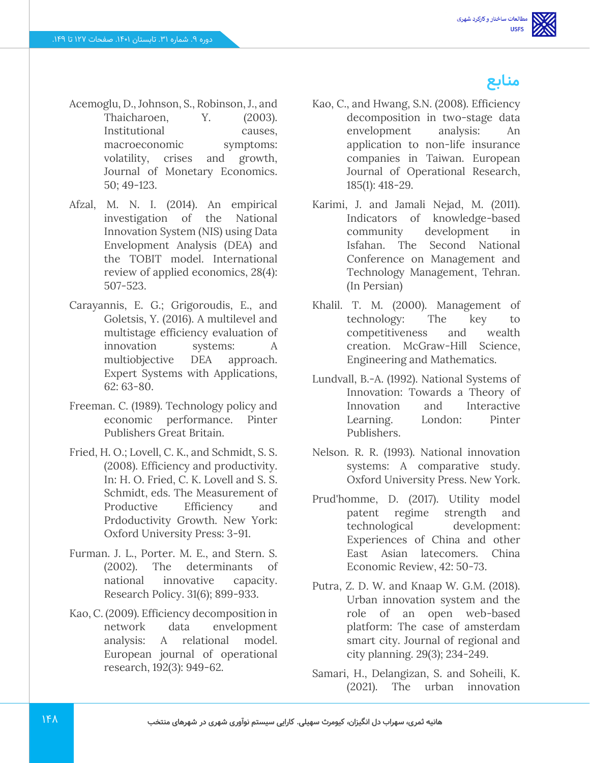

- Acemoglu, D., Johnson, S., Robinson, J., and Thaicharoen, Y. (2003). Institutional causes, macroeconomic symptoms: volatility, crises and growth, Journal of Monetary Economics. 50; 49-123.
- Afzal, M. N. I. (2014). An empirical investigation of the National Innovation System (NIS) using Data Envelopment Analysis (DEA) and the TOBIT model. International review of applied economics, 28(4): 507-523.
- Carayannis, E. G.; Grigoroudis, E., and Goletsis, Y. (2016). A multilevel and multistage efficiency evaluation of innovation systems: A multiobjective DEA approach. Expert Systems with Applications, 62: 63-80.
- Freeman. C. (1989). Technology policy and economic performance. Pinter Publishers Great Britain.
- Fried, H. O.; Lovell, C. K., and Schmidt, S. S. (2008). Efficiency and productivity. In: H. O. Fried, C. K. Lovell and S. S. Schmidt, eds. The Measurement of Productive Efficiency and Prdoductivity Growth. New York: Oxford University Press: 3-91.
- Furman. J. L., Porter. M. E., and Stern. S. (2002). The determinants of national innovative capacity. Research Policy. 31(6); 899-933.
- Kao, C. (2009). Efficiency decomposition in network data envelopment analysis: A relational model. European journal of operational research, 192(3): 949-62.
- Kao, C., and Hwang, S.N. (2008). Efficiency decomposition in two-stage data envelopment analysis: An application to non-life insurance companies in Taiwan. European Journal of Operational Research, 185(1): 418-29.
- Karimi, J. and Jamali Nejad, M. (2011). Indicators of knowledge-based community development in Isfahan. The Second National Conference on Management and Technology Management, Tehran. (In Persian)
- Khalil. T. M. (2000). Management of technology: The key to competitiveness and wealth creation. McGraw-Hill Science, Engineering and Mathematics.
- Lundvall, B.‐A. (1992). National Systems of Innovation: Towards a Theory of Innovation and Interactive Learning. London: Pinter Publishers.
- Nelson. R. R. (1993). National innovation systems: A comparative study. Oxford University Press. New York.
- Prud'homme, D. (2017). Utility model patent regime strength and technological development: Experiences of China and other East Asian latecomers. China Economic Review, 42: 50-73.
- Putra, Z. D. W. and Knaap W. G.M. (2018). Urban innovation system and the role of an open web-based platform: The case of amsterdam smart city. Journal of regional and city planning. 29(3); 234-249.
- Samari, H., Delangizan, S. and Soheili, K. (2021). The urban innovation